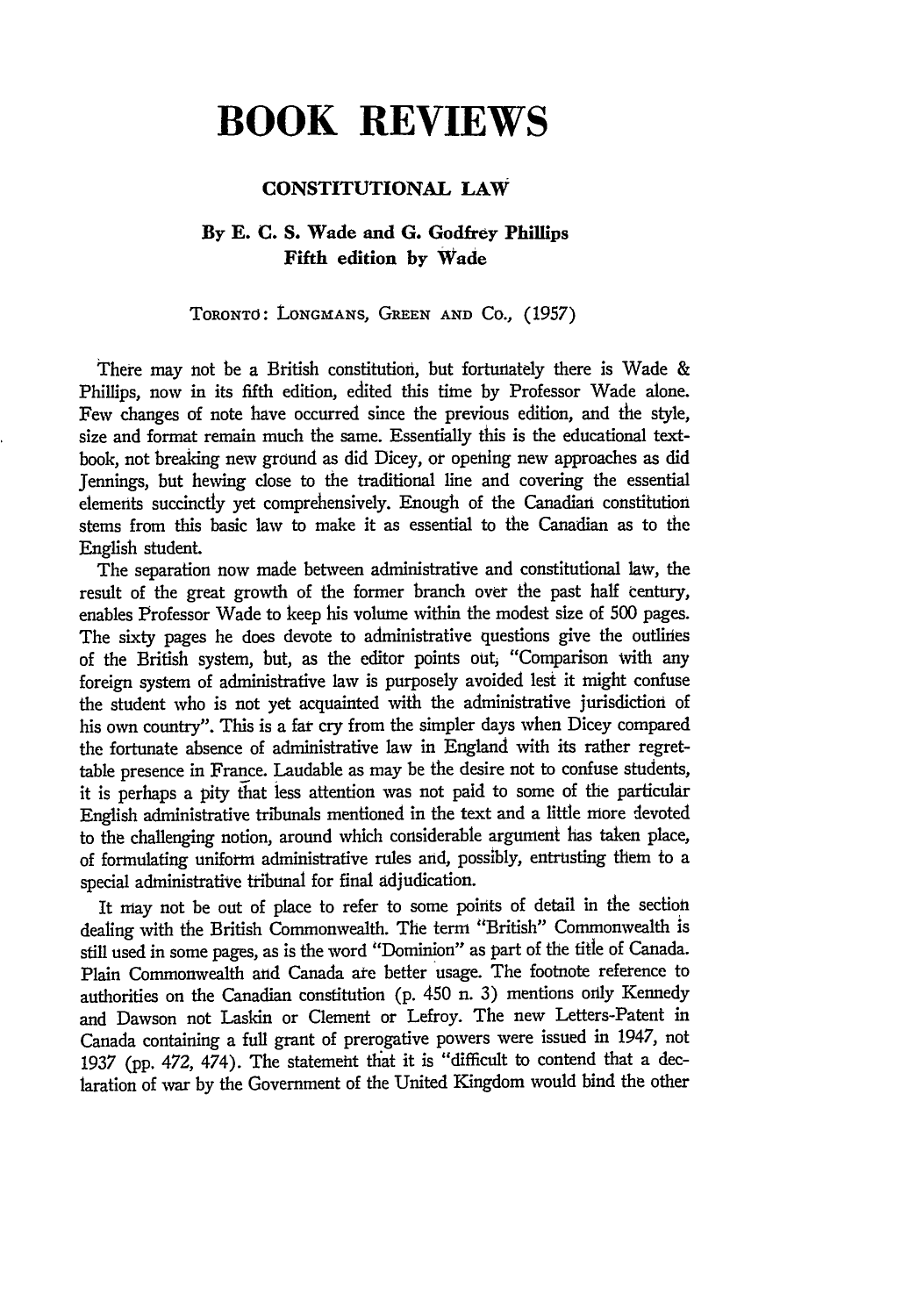# **BOOK REVIEWS**

## **CONSTITUTIONAL LAW**

## **By E. C. S. Wade and G. Godfrey Phillips Fifth edition by Wade**

TORONTO: LONGMANS, **GREEN AND** CO., (1957)

There may not be a British constitution, but fortunately there is Wade & Phillips, now in its fifth edition, edited this time by Professor Wade alone. Few changes of note have occurred since the previous edition, and the style, size and format remain much the same. Essentially this is the educational textbook, not breaking new ground as did Dicey, or opening new approaches as did Jennings, but hewing close to the traditional line and covering the essential elements succinctly yet comprehensively. Enough of the Canadian constitution stems from this basic law to make it as essential to the Canadian as to the English student.

The separation now made between administrative and constitutional law, the result of the great growth of the former branch over the past half century, enables Professor Wade to keep his volume within the modest size of 500 pages. The sixty pages he does devote to administrative questions give the outlines of the British system, but, as the editor points out, "Comparison with any foreign system of administrative law is purposely avoided lest it might confuse the student who is not yet acquainted with the administrative jurisdiction of his own country". This is a far cry from the simpler days when Dicey compared the fortunate absence of administrative law in England with its rather regrettable presence in France. Laudable as may be the desire not to confuse students, it is perhaps a pity that less attention was not paid to some of the particular English administrative tribunals mentioned in the text and a little more ievoted to the challenging notion, around which considerable argument has taken place, of formulating uniform administrative rules and, possibly, entrusting them to a special administrative tribunal for final adjudication.

It may not be out of place to refer to some points of detail in the section dealing with the British Commonwealth. The term "British" Commonwealth is still used in some pages, as is the word "Dominion" as part of the title of Canada. Plain Commonwealth and Canada ate better usage. The footnote reference to authorities on the Canadian constitution (p. 450 n. 3) mentions only Kennedy and Dawson not Laskin or Clement or Lefroy. The new Letters-Patent in Canada containing a full grant of prerogative powers were issued in 1947, not 1937 (pp. 472, 474). The statemeht that it is "difficult to contend that a declaration of war by the Government of the United Kingdom would bind the other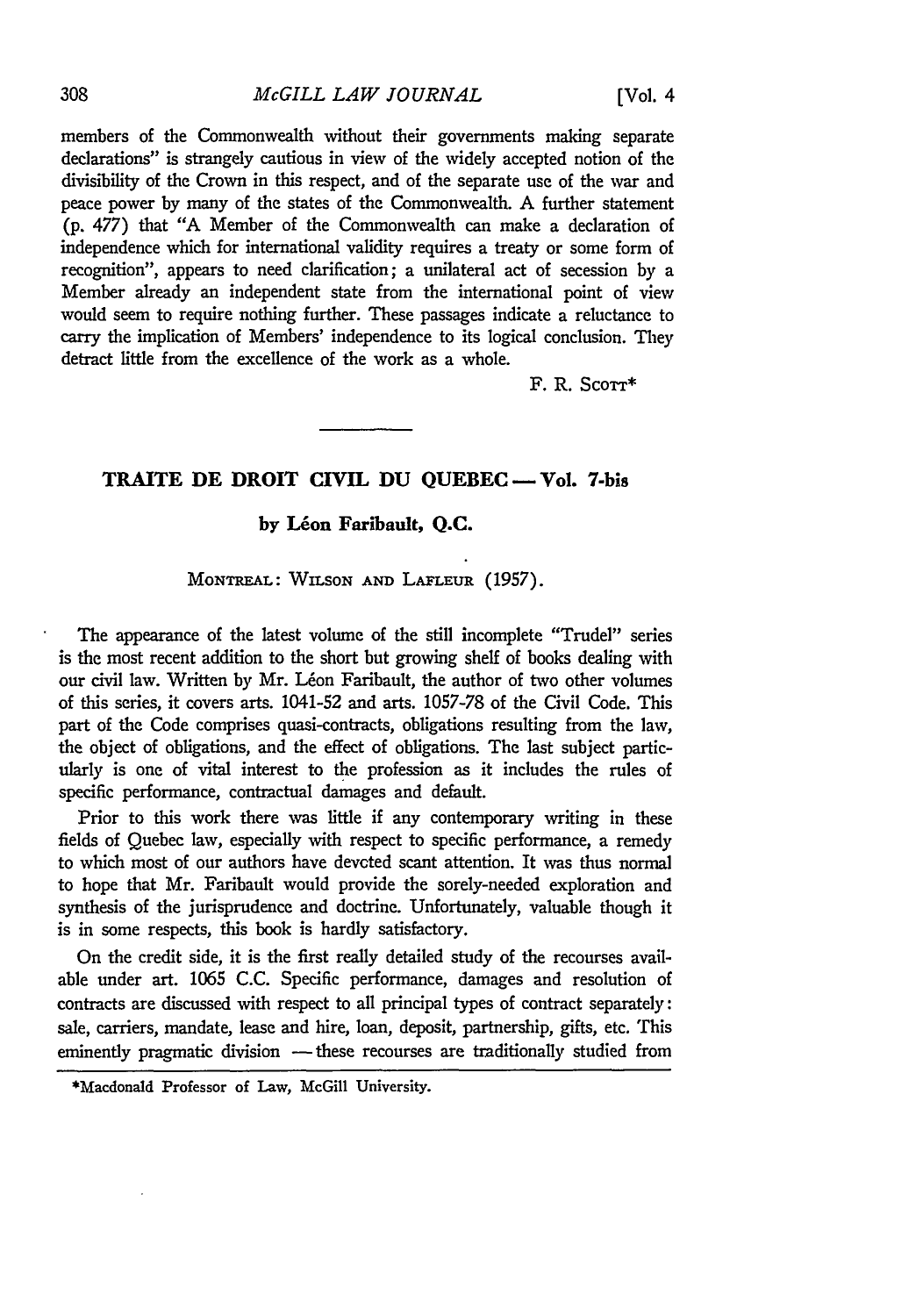#### *McGILL LAW JOURNAL*

members of the Commonwealth without their governments making separate declarations" is strangely cautious in view of the widely accepted notion of the divisibility of the Crown in this respect, and of the separate use of the war and peace power by many of the states of the Commonwealth. A further statement (p. **477)** that "A Member of the Commonwealth can make a declaration of independence which for international validity requires a treaty or some form of recognition", appears to need clarification; a unilateral act of secession **by** a Member already an independent state from the international point of view would seem to require nothing further. These passages indicate a reluctance to carry the implication of Members' independence to its logical conclusion. They detract little from the excellence of the work as a whole.

F. R. Scorr\*

### **TRAITE DE DROIT CIVIL DU QUEBEC - Vol.** 7-bis

### **by Leon Faribault, Q.C.**

## MONTREAL: WILSON **AND** LAFLEUR (1957).

The appearance of the latest volume of the still incomplete "Trudel" series is the most recent addition to the short but growing shelf of books dealing with our civil law. Written by Mr. Léon Faribault, the author of two other volumes of this series, it covers arts. 1041-52 and arts. 1057-78 of the Civil Code. This part of the Code comprises quasi-contracts, obligations resulting from the law, the object of obligations, and the effect of obligations. The last subject particularly is one of vital interest to the profession as it includes the rules of specific performance, contractual damages and default.

Prior to this work there was little if any contemporary writing in these fields of Quebec law, especially with respect to specific performance, a remedy to which most of our authors have devcted scant attention. It was thus normal to hope that Mr. Faribault would provide the sorely-needed exploration and synthesis of the jurisprudence and doctrine. Unfortunately, valuable though it is in some respects, this book is hardly satisfactory.

On the credit side, it is the first really detailed study of the recourses available under art. 1065 C.C. Specific performance, damages and resolution of contracts are discussed with respect to all principal types of contract separately: sale, carriers, mandate, lease and hire, loan, deposit, partnership, gifts, etc. This eminently pragmatic division - these recourses are traditionally studied from

308

<sup>\*</sup>Macdonald Professor of Law, McGill University.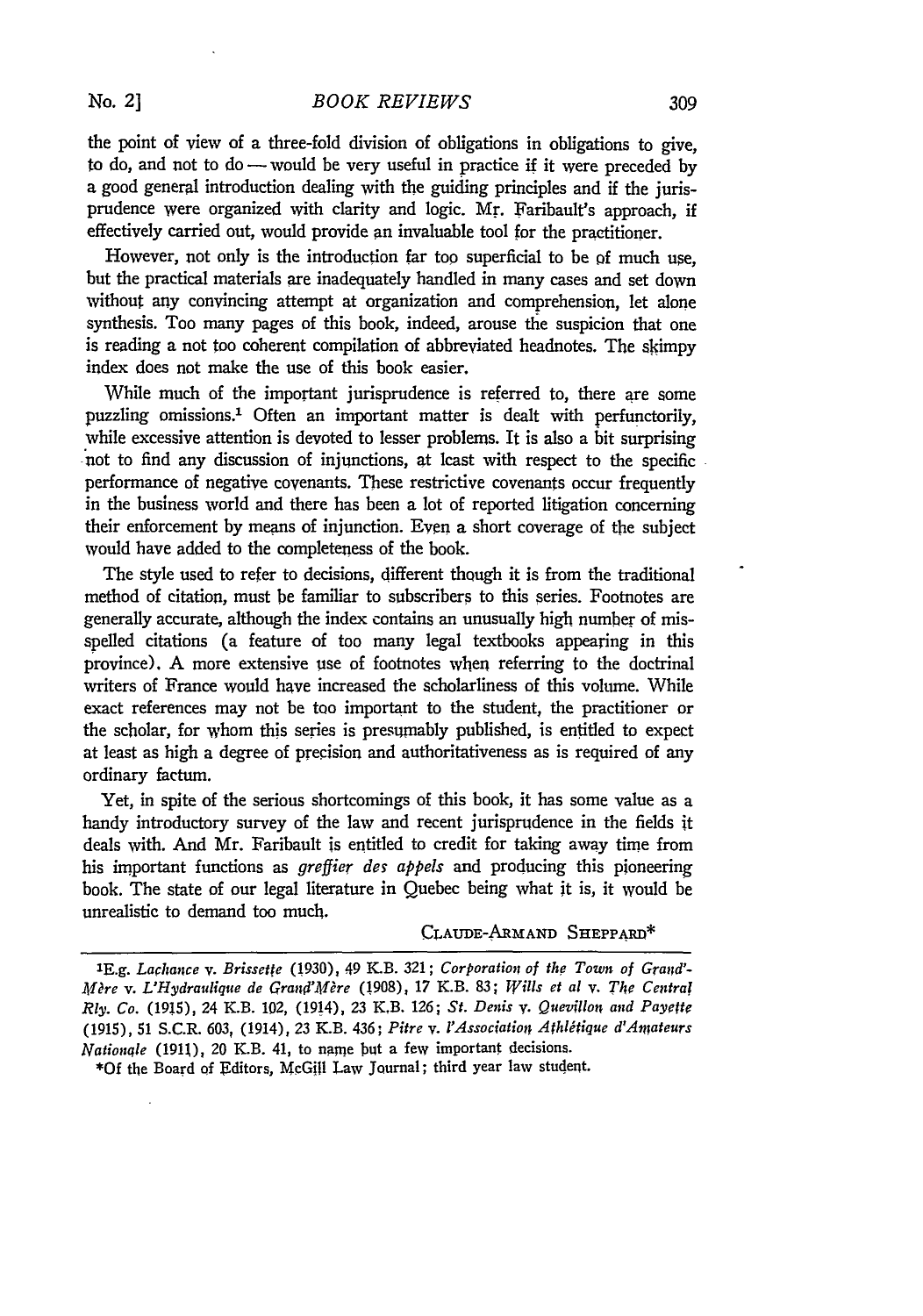the point of view of a three-fold division of obligations in obligations to give, to do, and not to do  $-$  would be very useful in practice if it were preceded by a good general introduction dealing with the guiding principles and if the jurisprudence were organized with clarity and logic. Mr. Faribault's approach, if effectively carried out, would provide an invaluable tool for the practitioner.

However, not only is the introduction far too superficial to be **of** much use, but the practical materials are inadequately handled in many cases and set down without any convincing attempt at organization and comprehension, let alone synthesis. Too many pages of this book, indeed, arouse the suspicion that one is reading a not too coherent compilation of abbreviated headnotes. The skimpy index does not make the use of this book easier.

While much of the important jurisprudence is referred to, there are some puzzling omissions.' Often an important matter is dealt with perfunctorily, while excessive attention is devoted to lesser problems. It is also a bit surprising not to find any discussion of injunctions, at least with respect to the specific performance of negative covenants. These restrictive covenants occur frequently in the business world and there has been a lot of reported litigation concerning their enforcement by means of injunction. Even a short coverage of the subject would have added to the completeness of the book.

The style used to refer to decisions, different though it is from the traditional method of citation, must be familiar to subscribers to this series. Footnotes are generally accurate, although the index contains an unusually high number of misspelled citations (a feature of too many legal textbooks appearing in this province). A more extensive use of footnotes when referring to the doctrinal writers of France would have increased the scholarliness of this volume. While exact references may not be too important to the student, the practitioner or the scholar, for whom this series is presumably published, is entitled to expect at least as high a degree of precision and authoritativeness as is required of any ordinary factum.

Yet, in spite of the serious shortcomings of this book, it has some value as a handy introductory survey of the law and recent jurisprudence in the fields it deals with. And Mr. Faribault is entitled to credit for taking away time from his important functions as *greffier des appels* and producing this pioneering book. The state of our legal literature in Quebec being what it is, it would be unrealistic to demand too much.

#### CLAuDE-ARMAND SHEPPARID\*

**\*Of** the Board of Editors, McGill Law Journal; third year law student.

**<sup>1</sup>E.g.** Larhance *v.* Brissette (1930), 49 K.B. **321;** Corporation of the Town of *Gra;d'- Mre v. L'Hydraulique de Grandi'Mire* (1908), 17 K.B. **83;** *Wills et al v. The Central Rly. Co.* (1915), 24 K.B. 102, (1914), 23 KB. 126; *St. Denis v. Quevillon and Payette* (1915), **51** S.C.R. 603, (1914), **23** K.B. 436; *Pilre v. I'Association Afhldtique d'An"ateurs Nationale* (1911), 20 K.B. 41, to name but a few important decisions.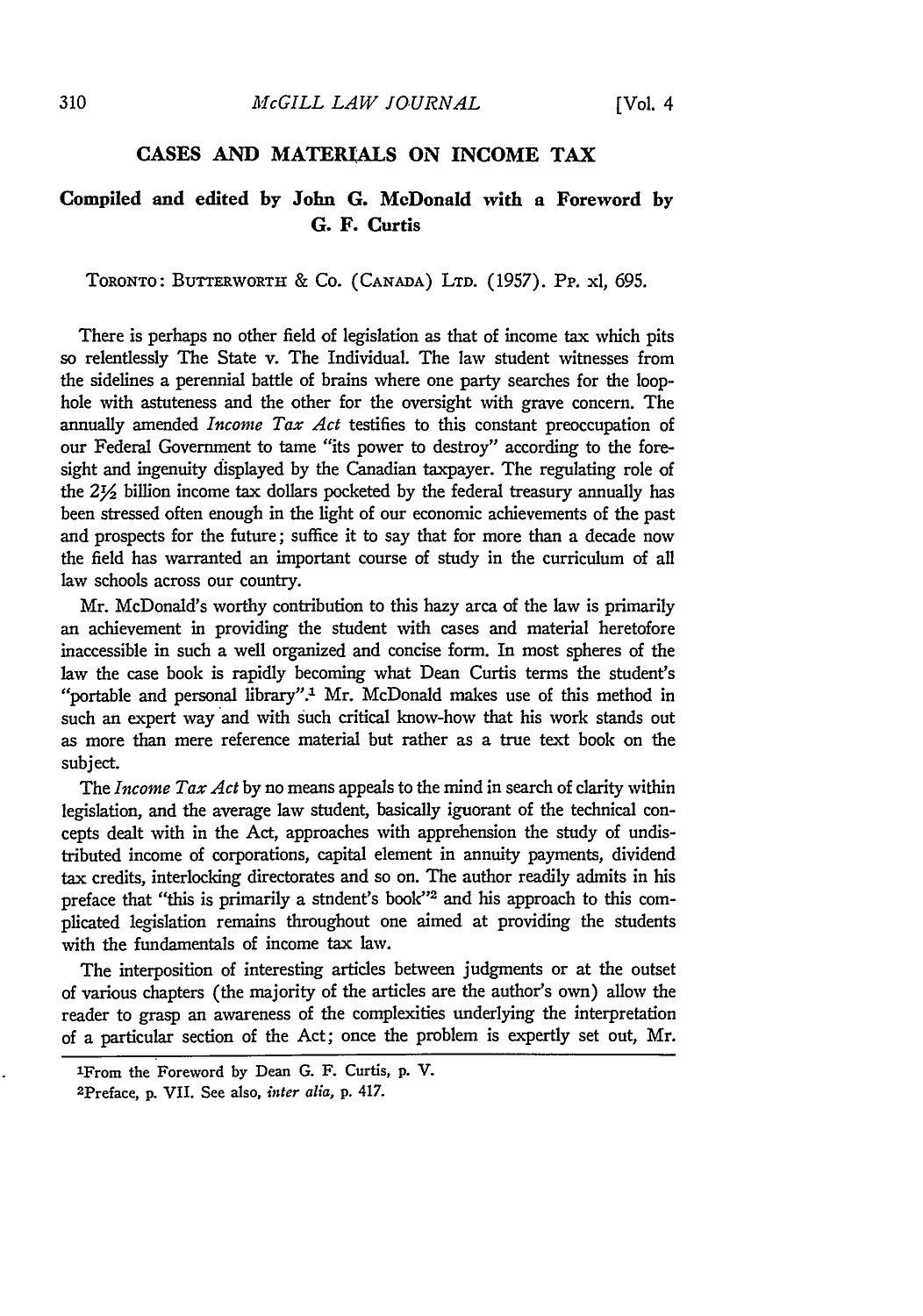## **CASES AND MATERIALS ON INCOME TAX**

# **Compiled and edited by John G. McDonald with a Foreword by G. F. Curtis**

TORONTO: **BUTTERWORTH & Co. (CANADA) LTD.** (1957). **Pp. xl, 695.**

There is perhaps no other field of legislation as that of income tax which pits so relentlessly The State v. The Individual. The law student witnesses from the sidelines a perennial battle of brains where one party searches for the loophole with astuteness and the other for the oversight with grave concern. The annually amended *Income Tax Act* testifies to this constant preoccupation of our Federal Government to tame "its power to destroy" according to the foresight and ingenuity displayed by the Canadian taxpayer. The regulating role of the **2Y2** billion income tax dollars pocketed by the federal treasury annually has been stressed often enough in the light of our economic achievements of the past and prospects for the future; suffice it to say that for more than a decade now the field has warranted an important course of study in the curriculum of all law schools across our country.

Mr. McDonald's worthy contribution to this hazy area of the law is primarily an achievement in providing the student with cases and material heretofore inaccessible in such a well organized and concise form. In most spheres of the law the case book is rapidly becoming what Dean Curtis terms the student's "portable and personal library".<sup>1</sup> Mr. McDonald makes use of this method in such an expert way and with such critical know-how that his work stands out as more than mere reference material but rather as a true text book on the subject.

The *Income Tax Act* by no means appeals to the mind in search of clarity within legislation, and the average law student, basically ignorant of the technical concepts dealt with in the Act, approaches with apprehension the study of undistributed income of corporations, capital element in annuity payments, dividend tax credits, interlocking directorates and so on. The author readily admits in his preface that "this is primarily a stndent's book"<sup>2</sup> and his approach to this complicated legislation remains throughout one aimed at providing the students with the fundamentals of income tax law.

The interposition of interesting articles between judgments or at the outset of various chapters (the majority of the articles are the author's own) allow the reader to grasp an awareness of the complexities underlying the interpretation of a particular section of the Act; once the problem is expertly set out, Mr.

310

lFrom the Foreword **by** Dean **G.** F. Curtis, **p.** V.

<sup>2</sup> Preface, **p. VII.** See also, *inter alia,* **p.** 417.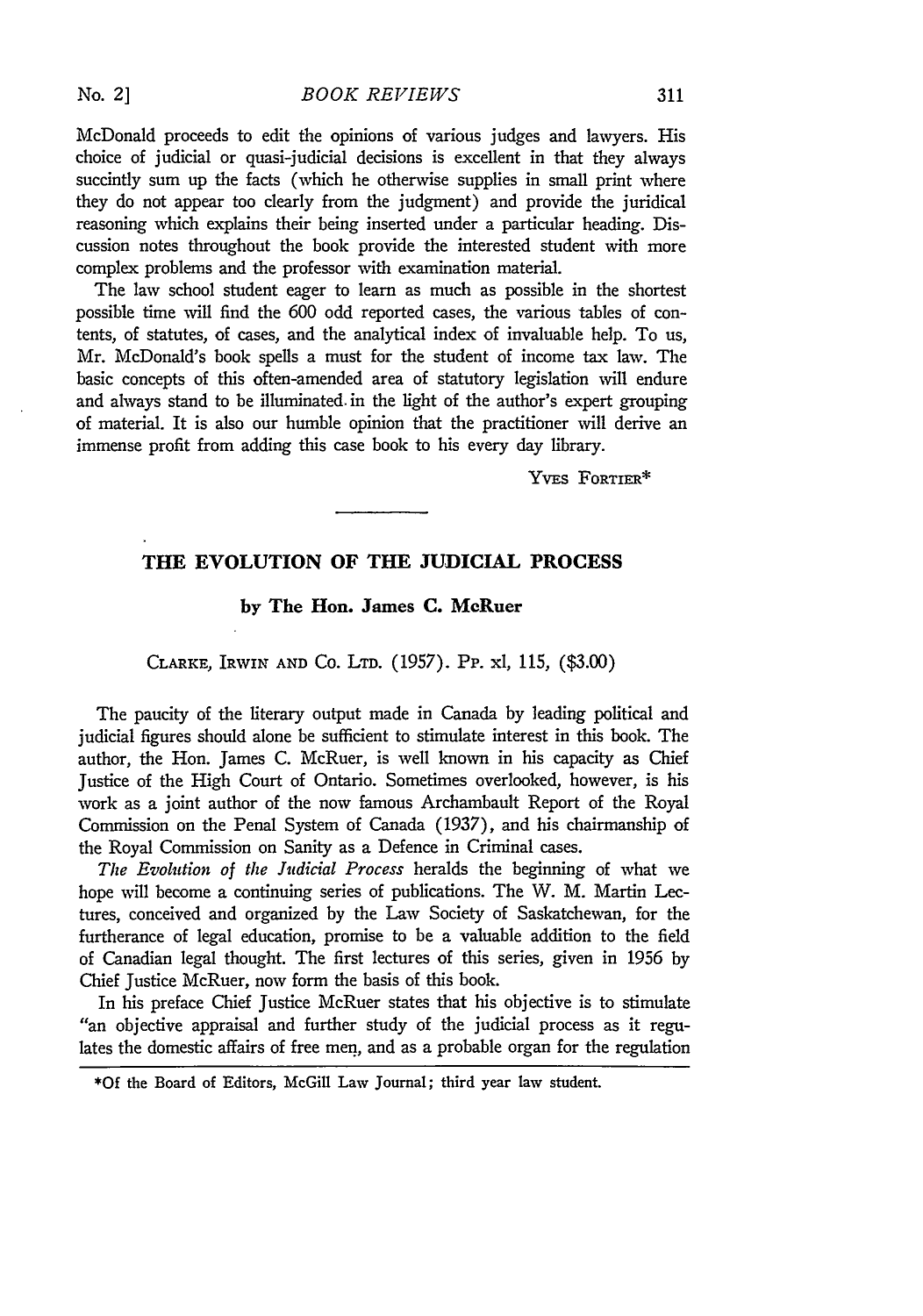McDonald proceeds to edit the opinions of various judges and lawyers. His choice of judicial or quasi-judicial decisions is excellent in that they always succintly sum up the facts (which he otherwise supplies in small print where they do not appear too clearly from the judgment) and provide the juridical reasoning which explains their being inserted under a particular heading. Discussion notes throughout the book provide the interested student with more complex problems and the professor with examination material.

The law school student eager to learn as much as possible in the shortest possible time will find the 600 odd reported cases, the various tables of contents, of statutes, of cases, and the analytical index of invaluable help. To us, Mr. McDonald's book spells a must for the student of income tax law. The basic concepts of this often-amended area of statutory legislation will endure and always stand to be illuminated, in the light of the author's expert grouping of material. It is also our humble opinion that the practitioner will derive an immense profit from adding this case book to his every day library.

YvEs FoRTIER\*

## **THE EVOLUTION OF THE JUDICIAL PROCESS**

#### **by The Hon. James C. MeRuer**

#### CLARKE, IRWIN **AND** Co. **LTD. (1957).** Pp. xl, **115, (\$3.00)**

The paucity of the literary output made in Canada by leading political and judicial figures should alone be sufficient to stimulate interest in this book. The author, the Hon. James C. McRuer, is well known in his capacity as Chief Justice of the High Court of Ontario. Sometimes overlooked, however, is his work as a joint author of the now famous Archambault Report of the Royal Commission on the Penal System of Canada (1937), and his chairmanship of the Royal Commission on Sanity as a Defence in Criminal cases.

The *Evohtion of the Judicial Process* heralds the beginning of what we hope will become a continuing series of publications. The W. M. Martin Lectures, conceived and organized by the Law Society of Saskatchewan, for the furtherance of legal education, promise to be a valuable addition to the field of Canadian legal thought. The first lectures of this series, given in 1956 by Chief Justice McRuer, now form the basis of this book.

In his preface Chief Justice McRuer states that his objective is to stimulate "an objective appraisal and further study of the judicial process as it regulates the domestic affairs of free men, and as a probable organ for the regulation

**<sup>\*</sup>Of the** Board of Editors, McGill Law Journal; third year law student.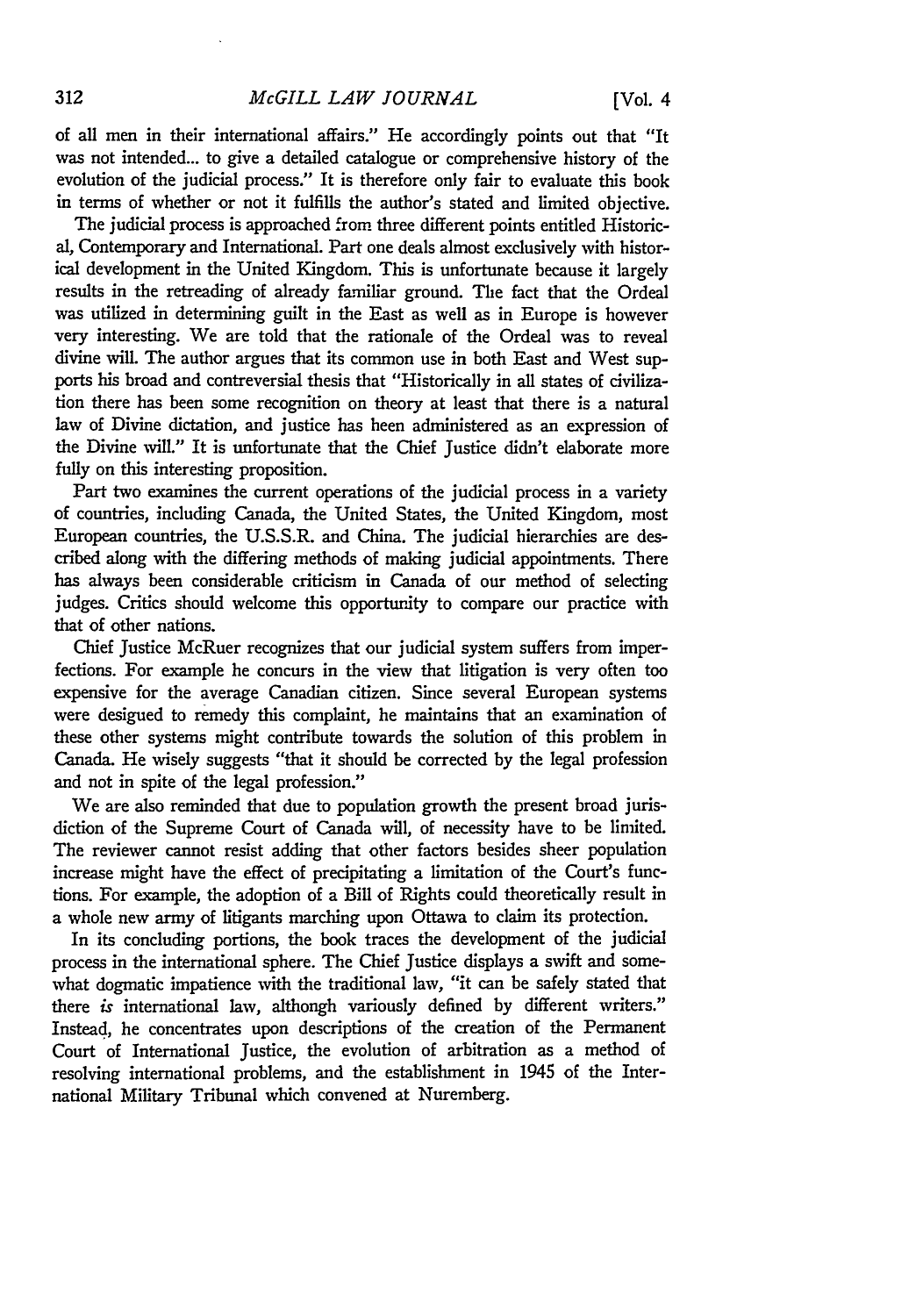of all men in their international affairs." He accordingly points out that "It was not intended... to give a detailed catalogue or comprehensive history of the evolution of the judicial process." It is therefore only fair to evaluate this book in terms of whether or not it fulfills the author's stated and limited objective.

The judicial process is approached from three different points entitled Historical, Contemporary and International. Part one deals almost exclusively with historical development in the United Kingdom. This is unfortunate because it largely results in the retreading of already familiar ground. The fact that the Ordeal was utilized in determining guilt in the East as well as in Europe is however very interesting. We are told that the rationale of the Ordeal was to reveal divine will. The author argues that its common use in both East and West supports his broad and contreversial thesis that "Historically in all states of civilization there has been some recognition on theory at least that there is a natural law of Divine dictation, and justice has been administered as an expression of the Divine will." It is unfortunate that the Chief Justice didn't elaborate more fully on this interesting proposition.

Part two examines the current operations of the judicial process in a variety of countries, including Canada, the United States, the United Kingdom, most European countries, the U.S.S.R. and China. The judicial hierarchies are described along with the differing methods of making judicial appointments. There has always been considerable criticism in Canada of our method of selecting judges. Critics should welcome this opportunity to compare our practice with that of other nations.

Chief Justice McRuer recognizes that our judicial system suffers from imperfections. For example he concurs in the view that litigation is very often too expensive for the average Canadian citizen. Since several European systems were designed to remedy this complaint, he maintains that an examination of these other systems might contribute towards the solution of this problem in Canada. He wisely suggests "that it should be corrected by the legal profession and not in spite of the legal profession."

We are also reminded that due to population growth the present broad jurisdiction of the Supreme Court of Canada will, of necessity have to be limited. The reviewer cannot resist adding that other factors besides sheer population increase might have the effect of precipitating a limitation of the Court's functions. For example, the adoption of a Bill of Rights could theoretically result in a whole new army of litigants marching upon Ottawa to claim its protection.

In its concluding portions, the book traces the development of the judicial process in the international sphere. The Chief Justice displays a swift and somewhat dogmatic impatience with the traditional law, "it can be safely stated that there *is* international law, although variously defined by different writers." Instead, he concentrates upon descriptions of the creation of the Permanent Court of International Justice, the evolution of arbitration as a method of resolving international problems, and the establishment in 1945 of the International Military Tribunal which convened at Nuremberg.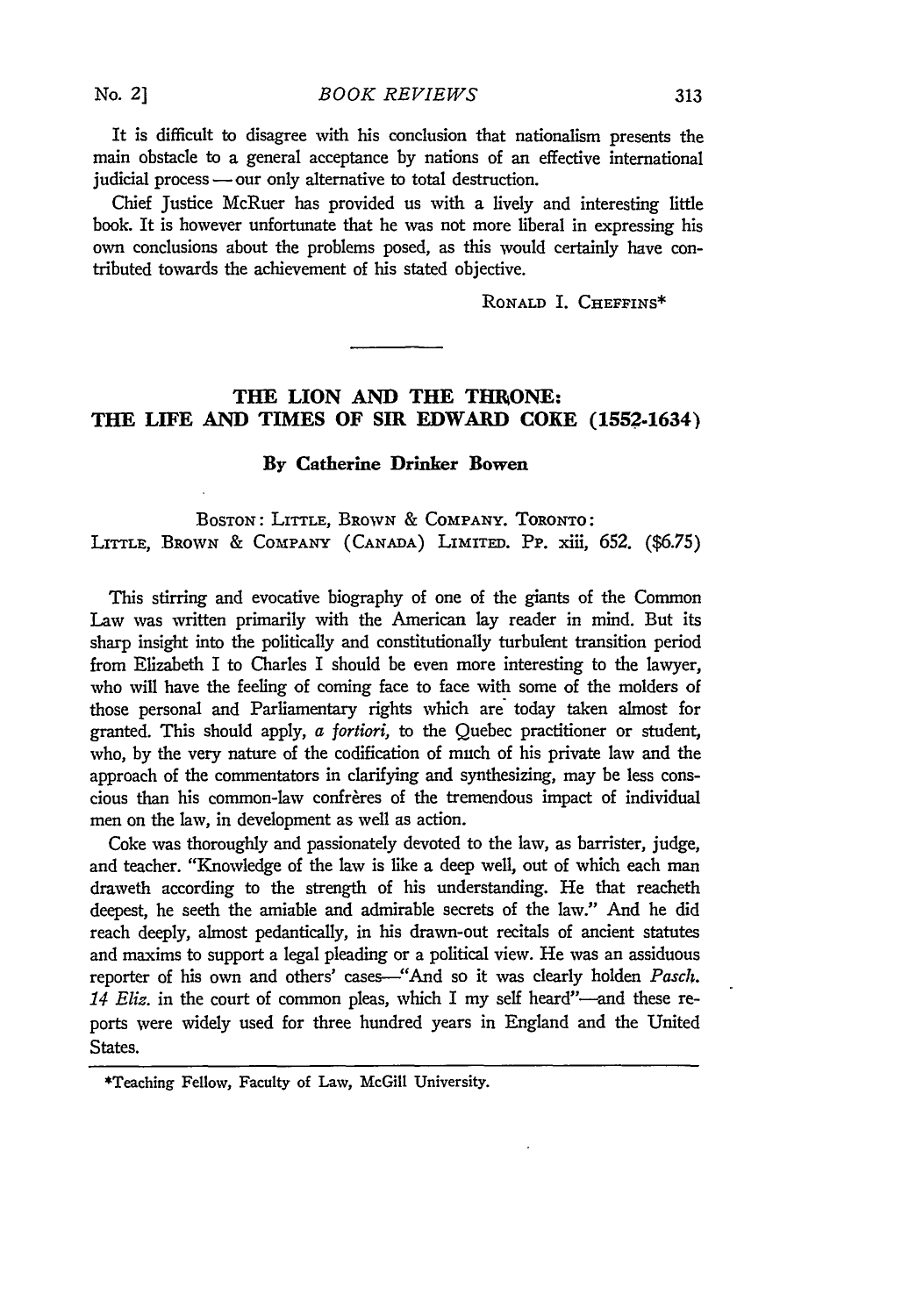It is difficult to disagree with his conclusion that nationalism presents the main obstacle to a general acceptance by nations of an effective international judicial process **-** our only alternative to total destruction.

Chief Justice McRuer has provided us with a lively and interesting little book. It is however unfortunate that he was not more liberal in expressing his own conclusions about the problems posed, as this would certainly have contributed towards the achievement of his stated objective.

RONALD I. CHEFFINS\*

## THE LION AND THE THRONE: **THE LIFE AND TIMES OF SIR EDWARD COKE (1552-1634)**

#### **By Catherine Drinker Bowen**

**BOSTON:** LITTLE, BROWN & COMPANY. **TORONTO: LITTLE, BROWN & COMPANY (CANADA) LIMITED.** Pp. xiii, **652. (\$6.75)**

This stirring and evocative biography of one of the giants of the Common Law was written primarily with the American lay reader in mind. But its sharp insight into the politically and constitutionally turbulent transition period from Elizabeth I to Charles I should be even more interesting to the lawyer, who will have the feeling of coming face to face with some of the molders of those personal and Parliamentary rights which are today taken almost for granted. This should apply, *a fortiori,* to the Quebec practitioner or student, who, by the very nature of the codification of much of his private law and the approach of the commentators in clarifying and synthesizing, may be less conscious than his common-law confreres of the tremendous impact of individual men on the law, in development as well as action.

Coke was thoroughly and passionately devoted to the law, as barrister, judge, and teacher. "Knowledge of the law is like a deep well, out of which each man draweth according to the strength of his understanding. He that reacheth deepest, he seeth the amiable and admirable secrets of the law." And he did reach deeply, almost pedantically, in his drawn-out recitals of ancient statutes and maxims to support a legal pleading or a political view. He was an assiduous reporter of his own and others' cases--"And so it was clearly holden Pasch. 14 Eliz. in the court of common pleas, which I my self heard"-and these reports were widely used for three hundred years in England and the United States.

**No.** *2]*

<sup>\*</sup>Teaching Fellow, Faculty of Law, McGill University.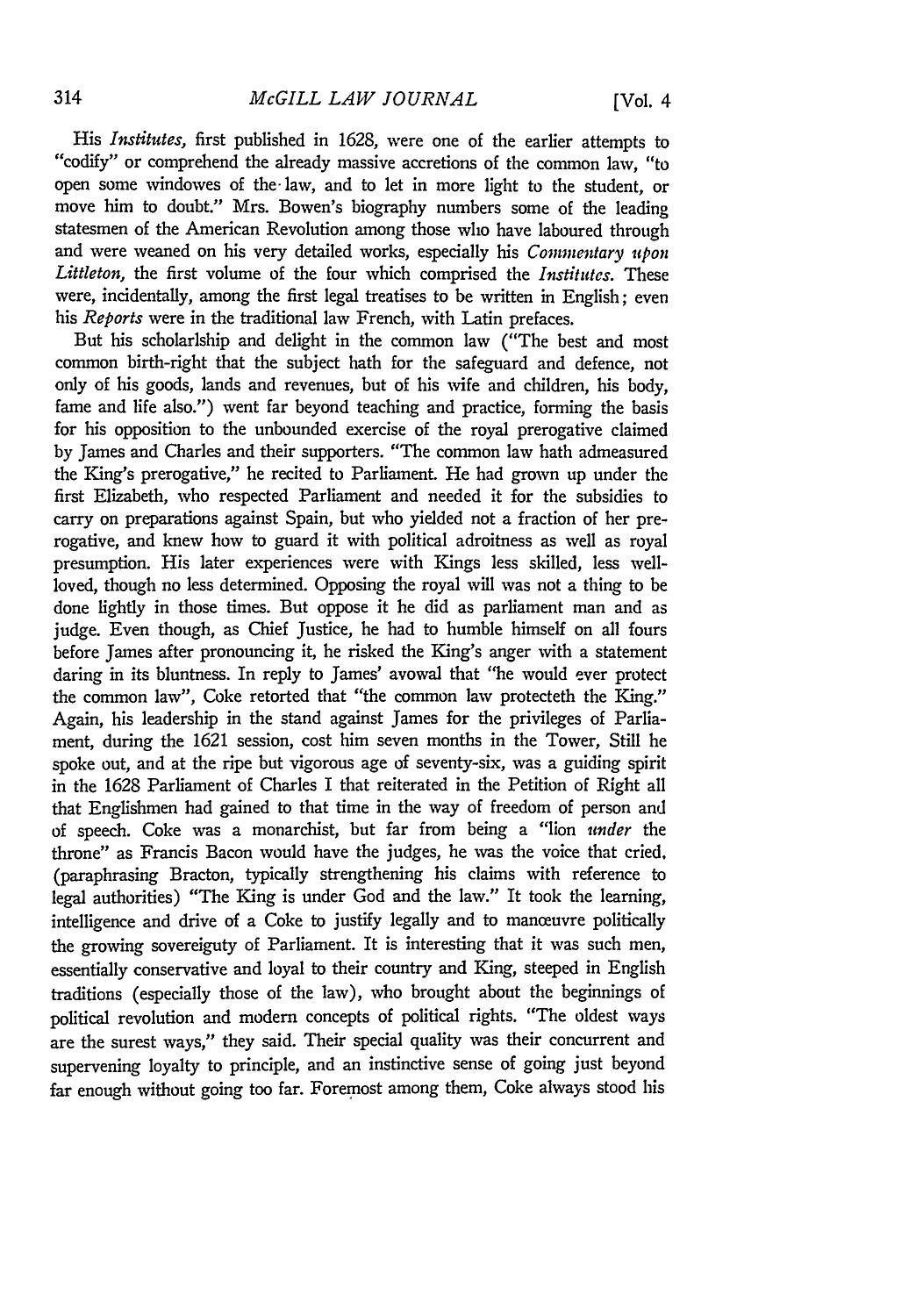*His Institutes,* first published in 1628, were one of the earlier attempts to "codify" or comprehend the already massive accretions of the common law, "to open some windowes of the-law, and to let in more light to the student, or move him to doubt." Mrs. Bowen's biography numbers some of the leading statesmen of the American Revolution among those who have laboured through and were weaned on his very detailed works, especially his *Commentary upon Littleton,* the first volume of the four which comprised the *Institutes.* These were, incidentally, among the first legal treatises to be written in English; even his *Reports* were in the traditional law French, with Latin prefaces.

But his scholarlship and delight in the common law ("The best and most common birth-right that the subject hath for the safeguard and defence, not only of his goods, lands and revenues, but of his wife and children, his body, fame and life also.") went far beyond teaching and practice, forming the basis for his opposition to the unbounded exercise of the royal prerogative claimed **by** James and Charles and their supporters. "The common law hath admeasured the King's prerogative," he recited to Parliament. He had grown up under the first Elizabeth, who respected Parliament and needed it for the subsidies to carry on preparations against Spain, but who yielded not a fraction of her prerogative, and knew how to guard it with political adroitness as well as royal presumption. His later experiences were with Kings less skilled, less wellloved, though no less determined. Opposing the royal will was not a thing to be done lightly in those times. But oppose it he did as parliament man and as judge. Even though, as Chief Justice, he had to humble himself on all fours before James after pronouncing *it,* he risked the King's anger with a statement daring in its bluntness. In reply to James' avowal that "he would ever protect the common law", Coke retorted that "the common law protecteth the King." Again, his leadership in the stand against James for the privileges of Parliament, during the 1621 session, cost him seven months in the Tower, Still he spoke out, and at the ripe but vigorous age of seventy-six, was a guiding spirit in the 1628 Parliament of Charles I that reiterated in the Petition of Right all that Englishmen had gained to that time in the way of freedom of person and of speech. Coke was a monarchist, but far from being a "lion *under* the throne" as Francis Bacon would have the judges, he was the voice that cried. (paraphrasing Bracton, typically strengthening his claims with reference to legal authorities) "The King is under God and the law." It took the learning, intelligence and drive of a Coke to justify legally and to manceuvre politically the growing sovereiguty of Parliament. It is interesting that it was such men, essentially conservative and loyal to their country and King, steeped in English traditions (especially those of the law), who brought about the beginnings of political revolution and modem concepts of political rights. "The oldest ways are the surest ways," they said. Their special quality was their concurrent and supervening loyalty to principle, and an instinctive sense of going just beyond far enough without going too far. Foremost among them, Coke always stood his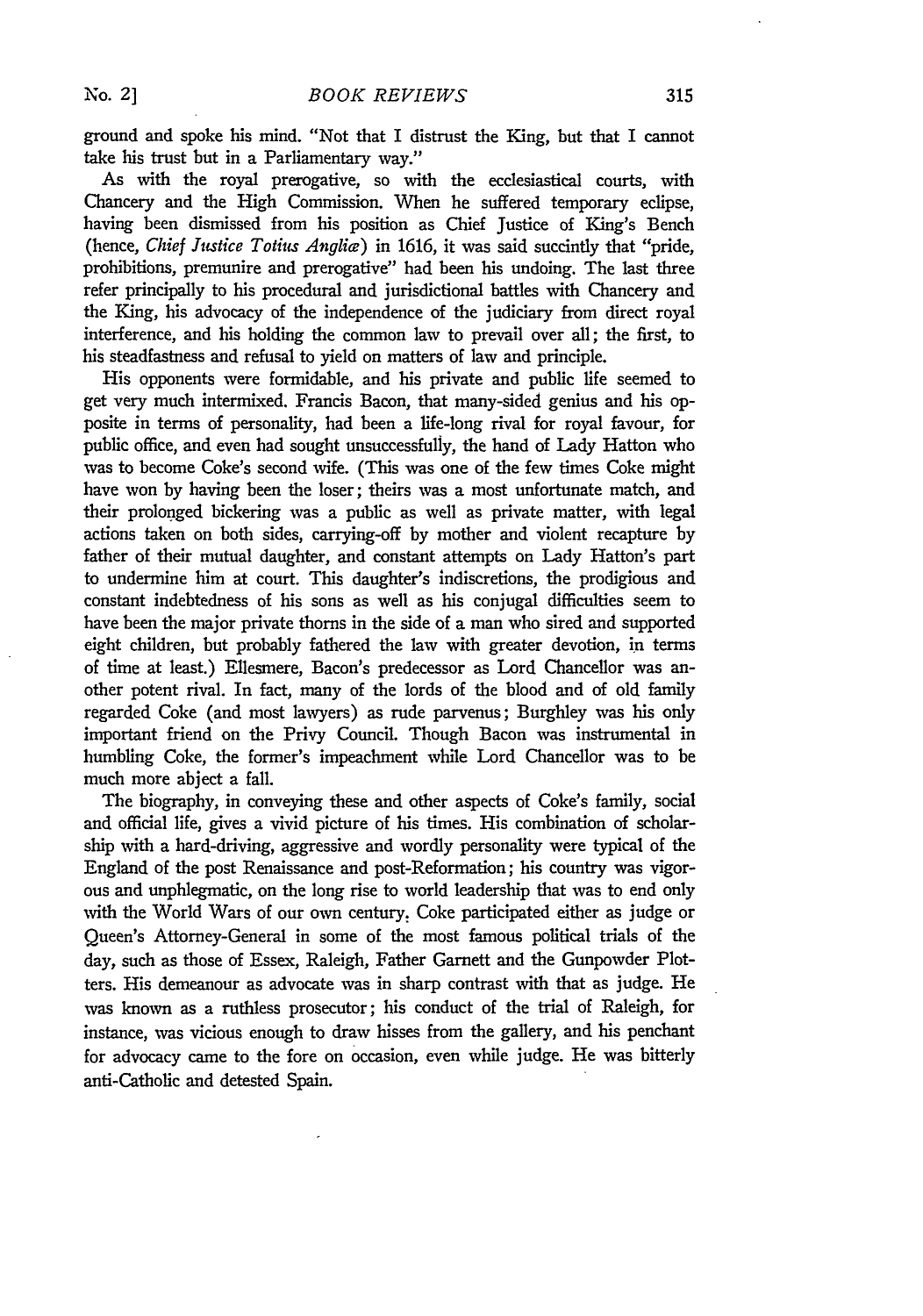ground and spoke his mind. "Not that I distrust the King, but that I cannot take his trust but in a Parliamentary way."

As with the royal prerogative, so with the ecclesiastical courts, with Chancery and the High Commission. When he suffered temporary eclipse, having been dismissed from his position as Chief Justice of King's Bench (hence, *Chief Justice Totius Anglia)* in 1616, it was said succintly that "pride, prohibitions, premunire and prerogative" had been his undoing. The last three refer principally to his procedural and jurisdictional battles with Chancery and the King, his advocacy of the independence of the judiciary from direct royal interference, and his holding the common law to prevail over all; the first, to his steadfastness and refusal to yield on matters of law and principle.

His opponents were formidable, and his private and public life seemed to get very much intermixed. Francis Bacon, that many-sided genius and his opposite in terms of personality, had been a life-long rival for royal favour, for public office, and even had sought unsuccessfully, the hand of Lady Hatton who was to become Coke's second wife. (This was one of the few times Coke might have won **by** having been the loser; theirs was a most unfortunate match, and their prolonged bickering was a public as well as private matter, with legal actions taken on both sides, carrying-off **by** mother and violent recapture **by** father of their mutual daughter, and constant attempts on Lady Hatton's part to undermine him at court. This daughter's indiscretions, the prodigious and constant indebtedness of his sons as well as his conjugal difficulties seem to have been the major private thorns in the side of a man who sired and supported eight children, but probably fathered the law with greater devotion, in terms of time at least.) Ellesmere, Bacon's predecessor as Lord Chancellor was another potent rival. In fact, many of the lords of the blood and of old family regarded Coke (and most lawyers) as rude parvenus; Burghley was his only important friend on the Privy Council. Though Bacon was instrumental in humbling Coke, the former's impeachment while Lord Chancellor was to be much more abject a fall.

The biography, in conveying these and other aspects of Coke's family, social and official life, gives a vivid picture of his times. His combination of scholarship with a hard-driving, aggressive and wordly personality were typical of the England of the post Renaissance and post-Reformation; his country was vigorous and unphlegmatic, on the long rise to world leadership that was to end only with the World Wars of our own century: Coke participated either as judge or Queen's Attorney-General in some of the most famous political trials of the day, such as those of Essex, Raleigh, Father Garnett and the Gunpowder Plotters. His demeanour as advocate was in sharp contrast with that as judge. He was known as a ruthless prosecutor; his conduct of the trial of Raleigh, for instance, was vicious enough to draw hisses from the gallery, and his penchant for advocacy came to the fore on occasion, even while judge. He was bitterly anti-Catholic and detested Spain.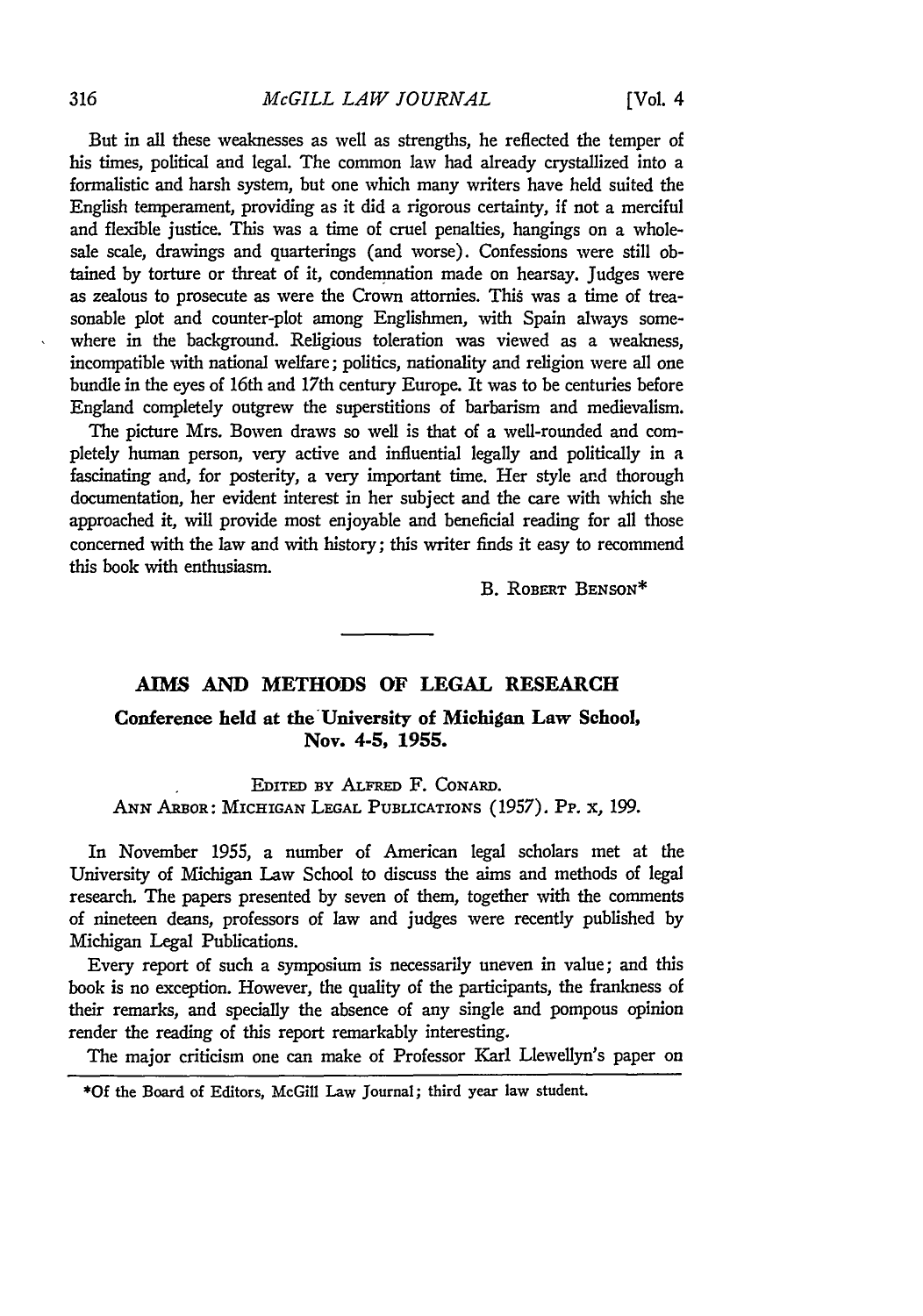But in all these weaknesses as well as strengths, he reflected the temper of his times, political and legal. The common law had already crystallized into a formalistic and harsh system, but one which many writers have held suited the English temperament, providing as it did a rigorous certainty, if not a merciful and flexible justice. This was a time of cruel penalties, hangings on a wholesale scale, drawings and quarterings (and worse). Confessions were still obtained by torture or threat of it, condemnation made on hearsay. Judges were as zealous to prosecute as were the Crown attornies. This was a time of treasonable plot and counter-plot among Englishmen, with Spain always somewhere in the background. Religious toleration was viewed as a weakness, incompatible with national welfare; politics, nationality and religion were all one bundle in the eyes of 16th and 17th century Europe. It was to be centuries before England completely outgrew the superstitions of barbarism and medievalism.

The picture Mrs. Bowen draws so well is that of a well-rounded and completely human person, very active and influential legally and politically in a fascinating and, for posterity, a very important time. Her style and thorough documentation, her evident interest in her subject and the care with which she approached it, will provide most enjoyable and beneficial reading for all those concerned with the law and with history; this writer finds it easy to recommend this book with enthusiasm.

B. ROBERT BENSON\*

## **AIMS AND METHODS OF LEGAL RESEARCH**

Conference held at the University of Michigan Law School, **Nov. 4-5, 1955.**

EDITED BY ALFRED F. CONARD. ANN ARBOR: MICHIGAN LEGAL PUBLICATIONS **(1957). Pp.** x, **199.**

In November *1955,* a number of American legal scholars met at the University of Michigan Law School to discuss the aims and methods of legal research. The papers presented by seven of them, together with the comments of nineteen deans, professors of law and judges were recently published by Michigan Legal Publications.

Every report of such a symposium is necessarily uneven in value; and this book is no exception. However, the quality of the participants, the frankness of their remarks, and specially the absence of any single and pompous opinion render the reading of this report remarkably interesting.

The major criticism one can make of Professor Karl Llewellyn's paper on

**\*Of** the Board of Editors, McGill Law Journal; third year law student.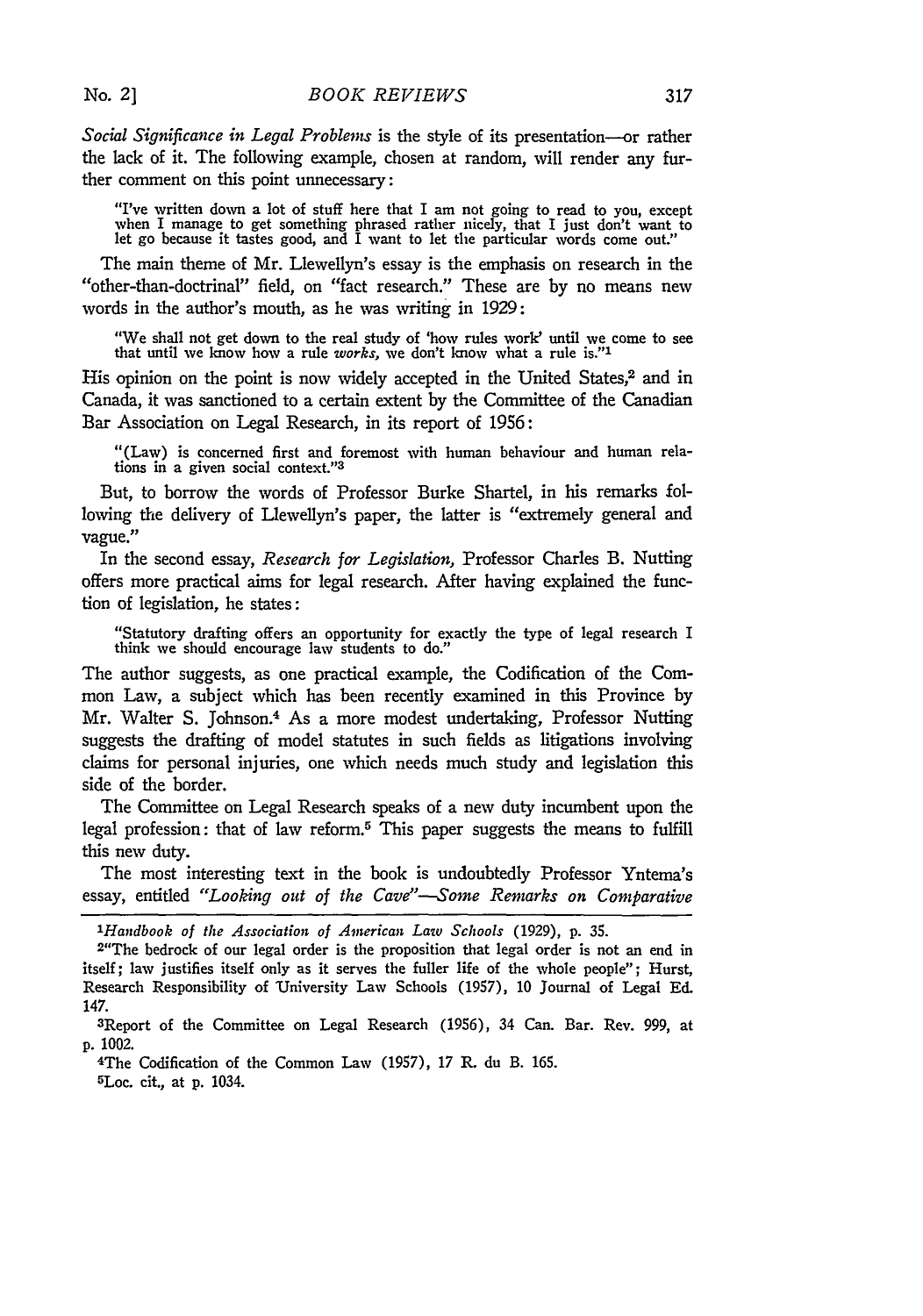*Social Significance in Legal Problems* is the style of its presentation--or rather the lack of it. The following example, chosen at random, will render any further comment on this point unnecessary:

"I've written down a lot of stuff here that I am not going to read to you, except<br>when I manage to get something phrased rather nicely, that I just don't want to<br>let go because it tastes good, and I want to let the particu

The main theme of Mr. Llewellyn's essay is the emphasis on research in the "other-than-doctrinal" field, on "fact research." These are **by** no means new words in the author's mouth, as he was writing in 1929:

"We shall not get down to the real study of 'how rules work' until we come to see that until we know how a rule *works,* we don't know what a rule **is."I**

His opinion on the point is now widely accepted in the United States, $^2$  and in Canada, it was sanctioned to a certain extent **by** the Committee of the Canadian Bar Association on Legal Research, in its report of 1956:

"(Law) is concerned first and foremost with human behaviour and human relations in a given social context."<sup>3</sup>

But, to borrow the words of Professor Burke Shartel, in his remarks following the delivery of Llewellyn's paper, the latter is "extremely general and vague.

In the second essay, *Research for Legislation,* Professor Charles B. Nutting offers more practical aims for legal research. After having explained the function of legislation, he states:

"Statutory drafting offers an opportunity for exactly the type of legal research I think we should encourage law students to do."

The author suggests, as one practical example, the Codification of the Common Law, a subject which has been recently examined in this Province **by** Mr. Walter **S.** Johnson.4 As a more modest undertaking, Professor Nutting suggests the drafting of model statutes in such fields as litigations involving claims for personal injuries, one which needs much study and legislation this side of the border.

The Committee on Legal Research speaks of a new duty incumbent upon the legal profession: that of law reform.5 This paper suggests the means to fulfill this new duty.

The most interesting text in the book is undoubtedly Professor Yntema's essay, entitled *"Looking out of the Cave"--Some Remarks on Comparative*

*<sup>1</sup>Handbook of the Association of American Law Schools* (1929), **p. 35.**

<sup>2&</sup>quot;The bedrock of our legal order is the proposition that legal order is not an end in itself; law justifies itself only as it serves the fuller life of the whole people"; Hurst, Research Responsibility of University Law Schools (1957), 10 Journal of Legal **Ed.** 147.

<sup>3</sup>Report of the Committee on Legal Research (1956), 34 Can. Bar. Rev. 999, at **p.** 1002.

<sup>4</sup>The Codification of the Common Law (1957), **17** R. du B. 165. 5Loc. cit., at **p.** 1034.